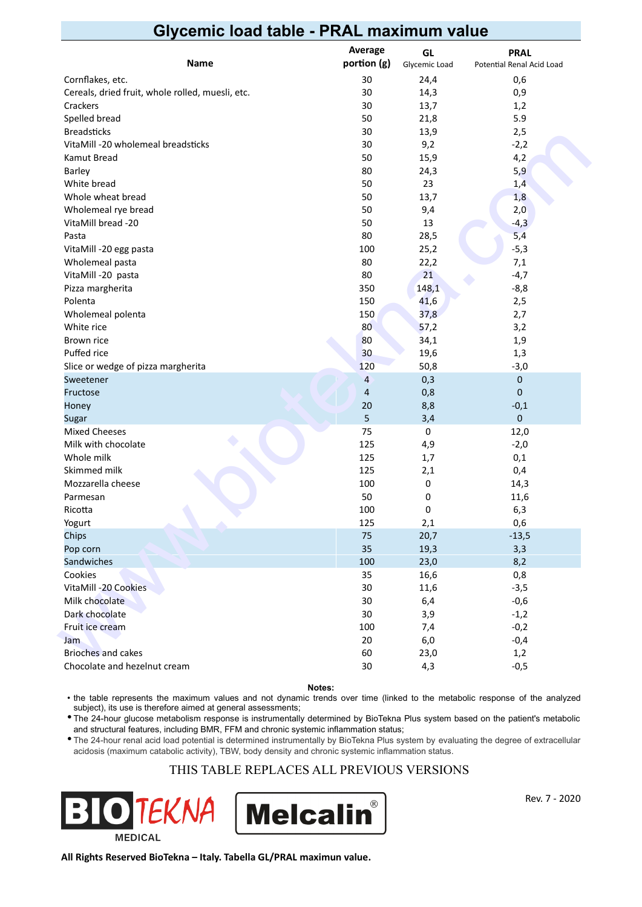# **Glycemic load table - PRAL maximum value**

| <b>Name</b>                                      | Average<br>portion (g) | GL<br>Glycemic Load | <b>PRAL</b><br>Potential Renal Acid Load |
|--------------------------------------------------|------------------------|---------------------|------------------------------------------|
| Cornflakes, etc.                                 | 30                     | 24,4                | 0,6                                      |
| Cereals, dried fruit, whole rolled, muesli, etc. | 30                     | 14,3                | 0,9                                      |
| Crackers                                         | 30                     | 13,7                | 1,2                                      |
| Spelled bread                                    | 50                     | 21,8                | 5.9                                      |
| <b>Breadsticks</b>                               | 30                     | 13,9                | 2,5                                      |
| VitaMill -20 wholemeal breadsticks               | 30                     | 9,2                 | $-2,2$                                   |
| Kamut Bread                                      | 50                     | 15,9                | 4,2                                      |
| Barley                                           | 80                     | 24,3                | 5,9                                      |
| White bread                                      | 50                     | 23                  | 1,4                                      |
| Whole wheat bread                                | 50                     | 13,7                | 1,8                                      |
| Wholemeal rye bread                              | 50                     | 9,4                 | 2,0                                      |
| VitaMill bread -20                               | 50                     | 13                  | $-4,3$                                   |
| Pasta                                            | 80                     | 28,5                | 5,4                                      |
| VitaMill -20 egg pasta                           | 100                    | 25,2                | $-5,3$                                   |
| Wholemeal pasta                                  | 80                     | 22,2                | 7,1                                      |
| VitaMill -20 pasta                               | 80                     | 21                  | $-4,7$                                   |
| Pizza margherita                                 | 350                    | 148,1               | $-8,8$                                   |
| Polenta                                          | 150                    | 41,6                | 2,5                                      |
| Wholemeal polenta                                | 150                    | 37,8                | 2,7                                      |
| White rice                                       | 80                     | 57,2                | 3,2                                      |
| Brown rice                                       | 80                     | 34,1                | 1,9                                      |
| Puffed rice                                      | 30                     | 19,6                | 1,3                                      |
| Slice or wedge of pizza margherita               | 120                    | 50,8                | $-3,0$                                   |
| Sweetener                                        | 4                      | 0,3                 | $\pmb{0}$                                |
| Fructose                                         | $\sqrt{4}$             | 0,8                 | $\mathbf 0$                              |
| Honey                                            | 20                     | 8,8                 | $-0,1$                                   |
| Sugar                                            | 5                      | 3,4                 | $\pmb{0}$                                |
| <b>Mixed Cheeses</b>                             | 75                     | 0                   | 12,0                                     |
| Milk with chocolate                              | 125                    | 4,9                 | $-2,0$                                   |
| Whole milk                                       | 125                    | 1,7                 | 0,1                                      |
| Skimmed milk                                     | 125                    | 2,1                 | 0,4                                      |
| Mozzarella cheese                                | 100                    | 0                   | 14,3                                     |
| Parmesan                                         | 50                     | 0                   | 11,6                                     |
| Ricotta                                          | 100                    | 0                   | 6,3                                      |
| Yogurt                                           | 125                    | 2,1                 | 0,6                                      |
| Chips                                            | 75                     | 20,7                | $-13,5$                                  |
| Pop corn                                         | 35                     | 19,3                | 3,3                                      |
| Sandwiches                                       | 100                    | 23,0                | 8,2                                      |
| Cookies                                          | 35                     | 16,6                | 0,8                                      |
| VitaMill -20 Cookies                             | 30                     | 11,6                | $-3,5$                                   |
| Milk chocolate                                   | 30                     | 6,4                 | $-0,6$                                   |
| Dark chocolate                                   | 30                     | 3,9                 | $-1,2$                                   |
| Fruit ice cream                                  | 100                    | 7,4                 | $-0,2$                                   |
| Jam                                              | 20                     | $6,0$               | $-0,4$                                   |
| Brioches and cakes                               | 60                     | 23,0                | 1,2                                      |
| Chocolate and hezelnut cream                     | $30\,$                 | 4,3                 | $-0,5$                                   |

**Notes:**

• the table represents the maximum values and not dynamic trends over time (linked to the metabolic response of the analyzed subject), its use is therefore aimed at general assessments;

• The 24-hour glucose metabolism response is instrumentally determined by BioTekna Plus system based on the patient's metabolic and structural features, including BMR, FFM and chronic systemic inflammation status;

• The 24-hour renal acid load potential is determined instrumentally by BioTekna Plus system by evaluating the degree of extracellular acidosis (maximum catabolic activity), TBW, body density and chronic systemic inflammation status.

#### THIS TABLE REPLACES ALL PREVIOUS VERSIONS





Rev. 7 - 2020

**All Rights Reserved BioTekna – Italy. Tabella GL/PRAL maximun value.**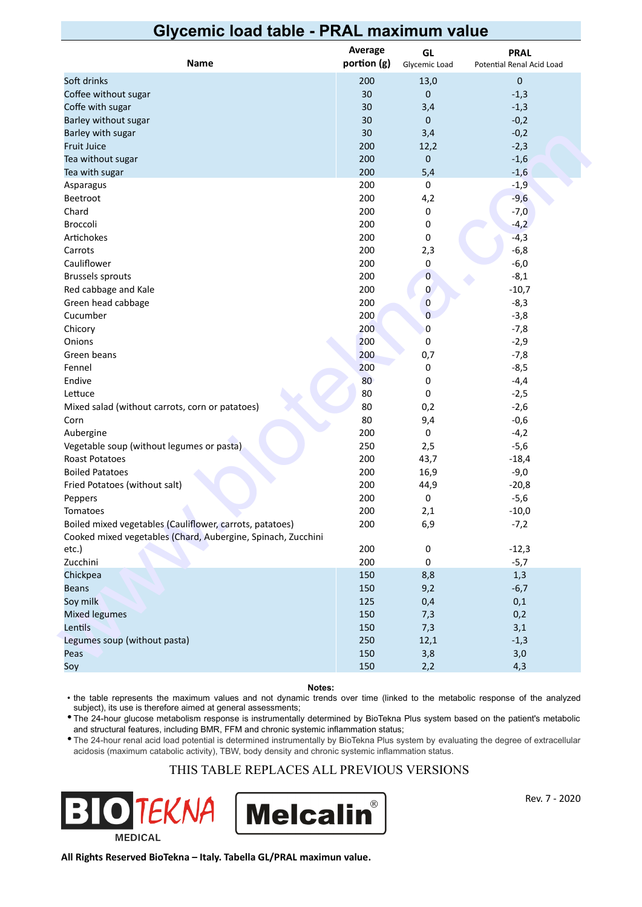### **Glycemic load table - PRAL maximum value**

| portion (g)<br>Name<br>Glycemic Load<br>Potential Renal Acid Load<br>Soft drinks<br>200<br>$\bf 0$<br>13,0<br>Coffee without sugar<br>30<br>0<br>$-1,3$<br>30<br>$-1,3$<br>Coffe with sugar<br>3,4<br>$-0,2$<br>Barley without sugar<br>30<br>0<br>Barley with sugar<br>30<br>$-0,2$<br>3,4<br><b>Fruit Juice</b><br>200<br>$-2,3$<br>12,2<br>200<br>$\mathbf 0$<br>$-1,6$<br>Tea without sugar<br>200<br>5,4<br>$-1,6$<br>Tea with sugar<br>200<br>$-1,9$<br>0<br>Asparagus |
|------------------------------------------------------------------------------------------------------------------------------------------------------------------------------------------------------------------------------------------------------------------------------------------------------------------------------------------------------------------------------------------------------------------------------------------------------------------------------|
|                                                                                                                                                                                                                                                                                                                                                                                                                                                                              |
|                                                                                                                                                                                                                                                                                                                                                                                                                                                                              |
|                                                                                                                                                                                                                                                                                                                                                                                                                                                                              |
|                                                                                                                                                                                                                                                                                                                                                                                                                                                                              |
|                                                                                                                                                                                                                                                                                                                                                                                                                                                                              |
|                                                                                                                                                                                                                                                                                                                                                                                                                                                                              |
|                                                                                                                                                                                                                                                                                                                                                                                                                                                                              |
|                                                                                                                                                                                                                                                                                                                                                                                                                                                                              |
|                                                                                                                                                                                                                                                                                                                                                                                                                                                                              |
|                                                                                                                                                                                                                                                                                                                                                                                                                                                                              |
| 200<br>4,2<br>$-9,6$<br>Beetroot                                                                                                                                                                                                                                                                                                                                                                                                                                             |
| 200<br>$-7,0$<br>Chard<br>0                                                                                                                                                                                                                                                                                                                                                                                                                                                  |
| 200<br>0<br>$-4,2$<br>Broccoli                                                                                                                                                                                                                                                                                                                                                                                                                                               |
| $-4,3$<br>Artichokes<br>200<br>0                                                                                                                                                                                                                                                                                                                                                                                                                                             |
| $-6,8$<br>200<br>2,3<br>Carrots                                                                                                                                                                                                                                                                                                                                                                                                                                              |
| $-6,0$<br>Cauliflower<br>200<br>0                                                                                                                                                                                                                                                                                                                                                                                                                                            |
| <b>Brussels sprouts</b><br>200<br>$\mathbf 0$<br>$-8,1$                                                                                                                                                                                                                                                                                                                                                                                                                      |
| Red cabbage and Kale<br>200<br>$-10,7$<br>0                                                                                                                                                                                                                                                                                                                                                                                                                                  |
| Green head cabbage<br>200<br>$-8,3$<br>$\bf{0}$                                                                                                                                                                                                                                                                                                                                                                                                                              |
| $\overline{0}$<br>Cucumber<br>200<br>$-3,8$                                                                                                                                                                                                                                                                                                                                                                                                                                  |
| 200<br>0<br>Chicory<br>$-7,8$                                                                                                                                                                                                                                                                                                                                                                                                                                                |
| Onions<br>200<br>0<br>$-2,9$                                                                                                                                                                                                                                                                                                                                                                                                                                                 |
| 200<br>Green beans<br>0,7<br>$-7,8$                                                                                                                                                                                                                                                                                                                                                                                                                                          |
| 200<br>Fennel<br>0<br>$-8,5$                                                                                                                                                                                                                                                                                                                                                                                                                                                 |
| Endive<br>80<br>0<br>$-4,4$                                                                                                                                                                                                                                                                                                                                                                                                                                                  |
| 80<br>0<br>$-2,5$<br>Lettuce                                                                                                                                                                                                                                                                                                                                                                                                                                                 |
| 80<br>0,2<br>Mixed salad (without carrots, corn or patatoes)<br>$-2,6$                                                                                                                                                                                                                                                                                                                                                                                                       |
| 80<br>Corn<br>9,4<br>$-0,6$                                                                                                                                                                                                                                                                                                                                                                                                                                                  |
| 200<br>0<br>Aubergine<br>$-4,2$                                                                                                                                                                                                                                                                                                                                                                                                                                              |
| Vegetable soup (without legumes or pasta)<br>250<br>2,5<br>$-5,6$                                                                                                                                                                                                                                                                                                                                                                                                            |
| 200<br>Roast Potatoes<br>43,7<br>$-18,4$                                                                                                                                                                                                                                                                                                                                                                                                                                     |
| 200<br>16,9<br><b>Boiled Patatoes</b><br>$-9,0$                                                                                                                                                                                                                                                                                                                                                                                                                              |
| 200<br>Fried Potatoes (without salt)<br>44,9<br>$-20,8$                                                                                                                                                                                                                                                                                                                                                                                                                      |
| 200<br>0<br>$-5,6$<br>Peppers                                                                                                                                                                                                                                                                                                                                                                                                                                                |
| 200<br>Tomatoes<br>2,1<br>$-10,0$                                                                                                                                                                                                                                                                                                                                                                                                                                            |
| Boiled mixed vegetables (Cauliflower, carrots, patatoes)<br>200<br>6,9<br>$-7,2$                                                                                                                                                                                                                                                                                                                                                                                             |
| Cooked mixed vegetables (Chard, Aubergine, Spinach, Zucchini                                                                                                                                                                                                                                                                                                                                                                                                                 |
| 200<br>etc.)<br>$-12,3$<br>0                                                                                                                                                                                                                                                                                                                                                                                                                                                 |
| 200<br>Zucchini<br>$-5,7$<br>0                                                                                                                                                                                                                                                                                                                                                                                                                                               |
| 150<br>8,8<br>Chickpea<br>1,3                                                                                                                                                                                                                                                                                                                                                                                                                                                |
| 150<br><b>Beans</b><br>9,2<br>$-6,7$                                                                                                                                                                                                                                                                                                                                                                                                                                         |
| Soy milk<br>125<br>0,4<br>0,1                                                                                                                                                                                                                                                                                                                                                                                                                                                |
| <b>Mixed legumes</b><br>150<br>0,2<br>7,3                                                                                                                                                                                                                                                                                                                                                                                                                                    |
| Lentils<br>150<br>7,3<br>3,1                                                                                                                                                                                                                                                                                                                                                                                                                                                 |
| Legumes soup (without pasta)<br>250<br>12,1<br>$-1,3$                                                                                                                                                                                                                                                                                                                                                                                                                        |
| 150<br>3,8<br>Peas                                                                                                                                                                                                                                                                                                                                                                                                                                                           |
| 3,0<br>150<br>Soy<br>2,2<br>4,3                                                                                                                                                                                                                                                                                                                                                                                                                                              |

**Notes:**

• the table represents the maximum values and not dynamic trends over time (linked to the metabolic response of the analyzed subject), its use is therefore aimed at general assessments;

• The 24-hour glucose metabolism response is instrumentally determined by BioTekna Plus system based on the patient's metabolic and structural features, including BMR, FFM and chronic systemic inflammation status;

• The 24-hour renal acid load potential is determined instrumentally by BioTekna Plus system by evaluating the degree of extracellular acidosis (maximum catabolic activity), TBW, body density and chronic systemic inflammation status.

#### THIS TABLE REPLACES ALL PREVIOUS VERSIONS





Rev. 7 - 2020

**All Rights Reserved BioTekna – Italy. Tabella GL/PRAL maximun value.**